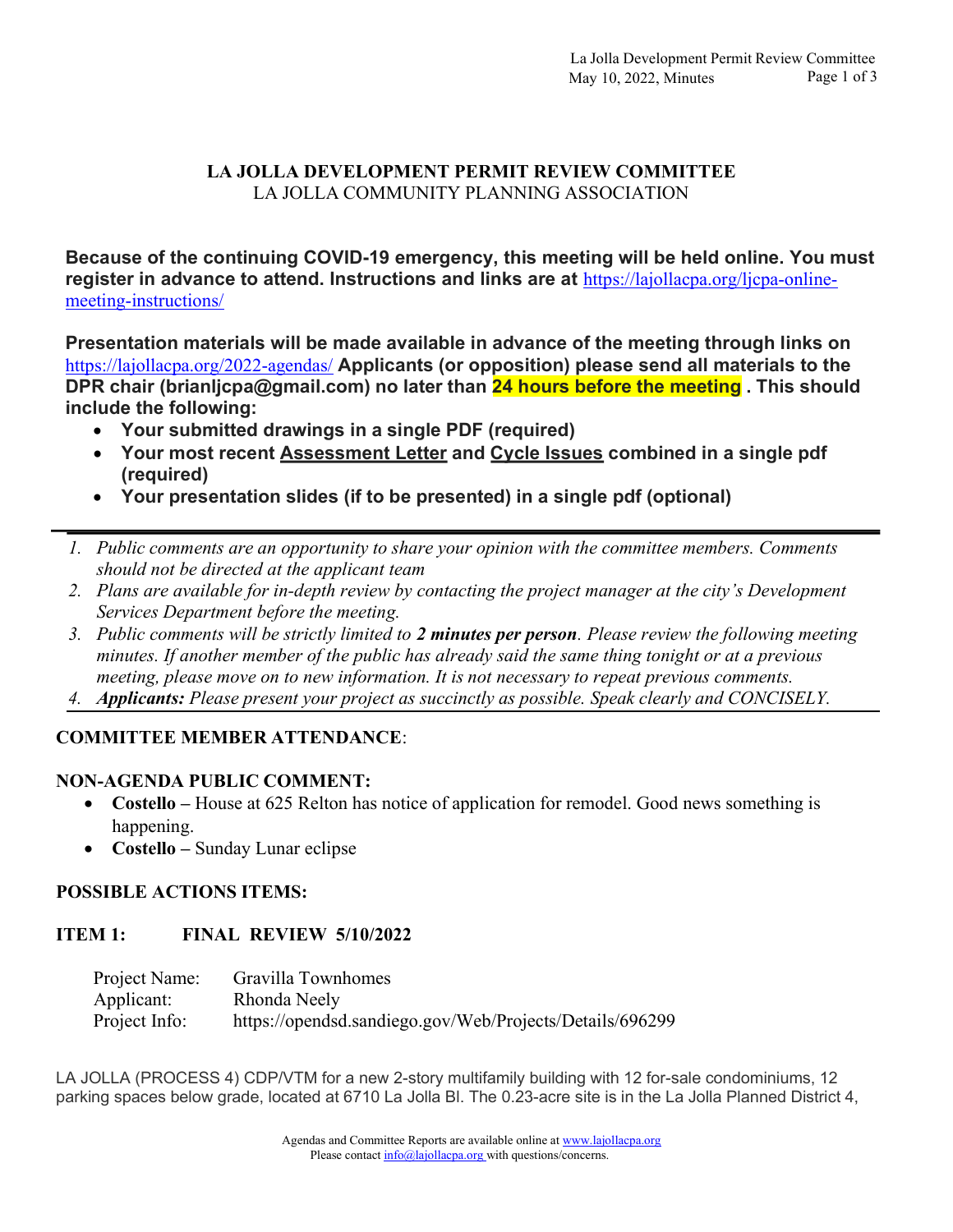# LA JOLLA DEVELOPMENT PERMIT REVIEW COMMITTEE LA JOLLA COMMUNITY PLANNING ASSOCIATION

Because of the continuing COVID-19 emergency, this meeting will be held online. You must register in advance to attend. Instructions and links are at https://lajollacpa.org/ljcpa-onlinemeeting-instructions/

Presentation materials will be made available in advance of the meeting through links on https://lajollacpa.org/2022-agendas/ Applicants (or opposition) please send all materials to the DPR chair (brianljcpa@gmail.com) no later than 24 hours before the meeting. This should include the following:

- Your submitted drawings in a single PDF (required)
- Your most recent Assessment Letter and Cycle Issues combined in a single pdf (required)
- Your presentation slides (if to be presented) in a single pdf (optional)
- 1. Public comments are an opportunity to share your opinion with the committee members. Comments should not be directed at the applicant team
- 2. Plans are available for in-depth review by contacting the project manager at the city's Development Services Department before the meeting.
- 3. Public comments will be strictly limited to 2 minutes per person. Please review the following meeting minutes. If another member of the public has already said the same thing tonight or at a previous meeting, please move on to new information. It is not necessary to repeat previous comments.
- 4. Applicants: Please present your project as succinctly as possible. Speak clearly and CONCISELY.

# COMMITTEE MEMBER ATTENDANCE:

### NON-AGENDA PUBLIC COMMENT:

- Costello House at 625 Relton has notice of application for remodel. Good news something is happening.
- Costello Sunday Lunar eclipse

### POSSIBLE ACTIONS ITEMS:

# ITEM 1: FINAL REVIEW 5/10/2022

| Project Name: | Gravilla Townhomes                                       |
|---------------|----------------------------------------------------------|
| Applicant:    | Rhonda Neely                                             |
| Project Info: | https://opendsd.sandiego.gov/Web/Projects/Details/696299 |

LA JOLLA (PROCESS 4) CDP/VTM for a new 2-story multifamily building with 12 for-sale condominiums, 12 parking spaces below grade, located at 6710 La Jolla Bl. The 0.23-acre site is in the La Jolla Planned District 4,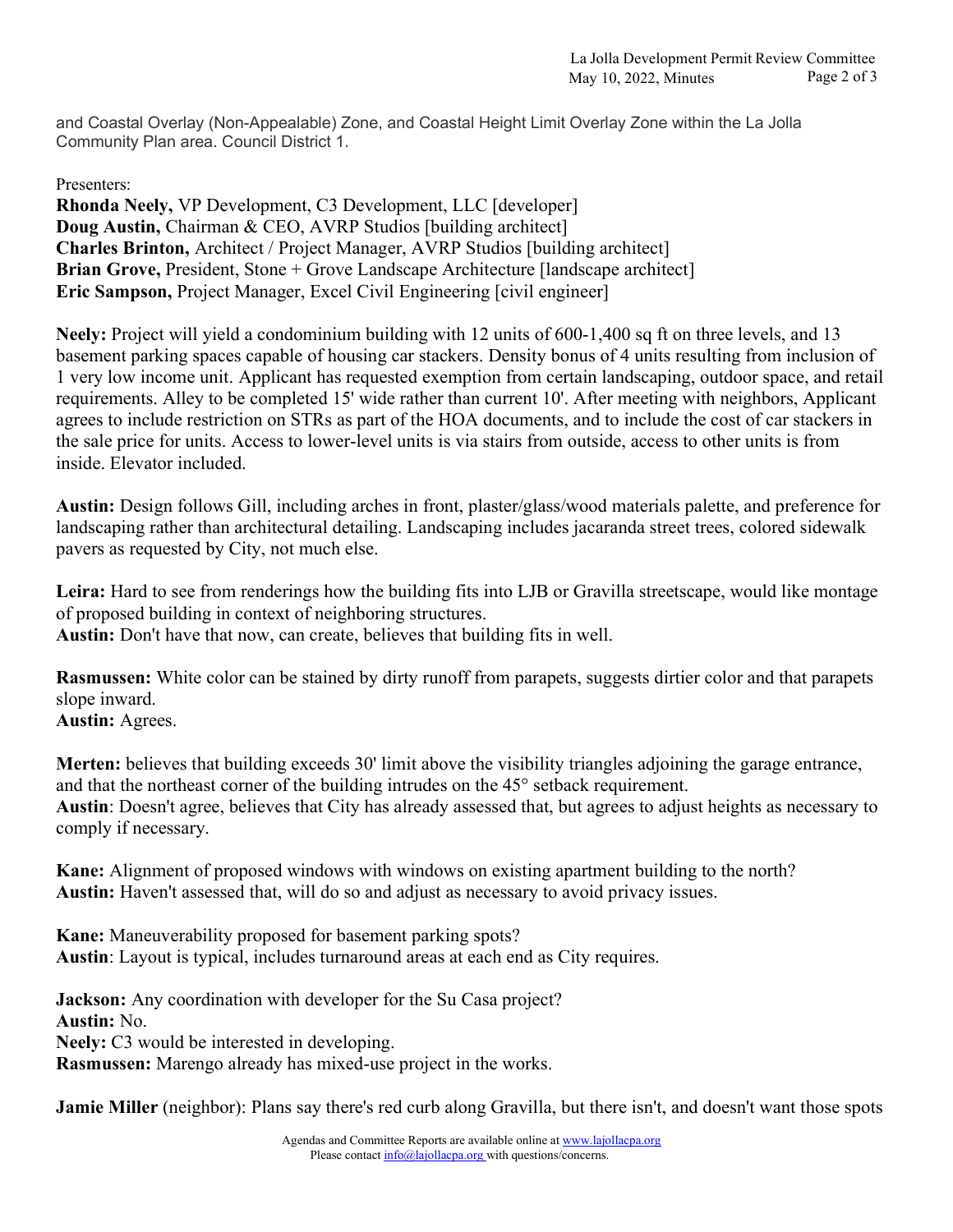and Coastal Overlay (Non-Appealable) Zone, and Coastal Height Limit Overlay Zone within the La Jolla Community Plan area. Council District 1.

Presenters:

Rhonda Neely, VP Development, C3 Development, LLC [developer] Doug Austin, Chairman & CEO, AVRP Studios [building architect] Charles Brinton, Architect / Project Manager, AVRP Studios [building architect] Brian Grove, President, Stone + Grove Landscape Architecture [landscape architect] Eric Sampson, Project Manager, Excel Civil Engineering [civil engineer]

Neely: Project will yield a condominium building with 12 units of 600-1,400 sq ft on three levels, and 13 basement parking spaces capable of housing car stackers. Density bonus of 4 units resulting from inclusion of 1 very low income unit. Applicant has requested exemption from certain landscaping, outdoor space, and retail requirements. Alley to be completed 15' wide rather than current 10'. After meeting with neighbors, Applicant agrees to include restriction on STRs as part of the HOA documents, and to include the cost of car stackers in the sale price for units. Access to lower-level units is via stairs from outside, access to other units is from inside. Elevator included.

Austin: Design follows Gill, including arches in front, plaster/glass/wood materials palette, and preference for landscaping rather than architectural detailing. Landscaping includes jacaranda street trees, colored sidewalk pavers as requested by City, not much else.

Leira: Hard to see from renderings how the building fits into LJB or Gravilla streetscape, would like montage of proposed building in context of neighboring structures. Austin: Don't have that now, can create, believes that building fits in well.

Rasmussen: White color can be stained by dirty runoff from parapets, suggests dirtier color and that parapets slope inward.

Austin: Agrees.

Merten: believes that building exceeds 30' limit above the visibility triangles adjoining the garage entrance, and that the northeast corner of the building intrudes on the 45° setback requirement. Austin: Doesn't agree, believes that City has already assessed that, but agrees to adjust heights as necessary to comply if necessary.

Kane: Alignment of proposed windows with windows on existing apartment building to the north? Austin: Haven't assessed that, will do so and adjust as necessary to avoid privacy issues.

Kane: Maneuverability proposed for basement parking spots? Austin: Layout is typical, includes turnaround areas at each end as City requires.

Jackson: Any coordination with developer for the Su Casa project? Austin: No. Neely: C3 would be interested in developing. Rasmussen: Marengo already has mixed-use project in the works.

**Jamie Miller** (neighbor): Plans say there's red curb along Gravilla, but there isn't, and doesn't want those spots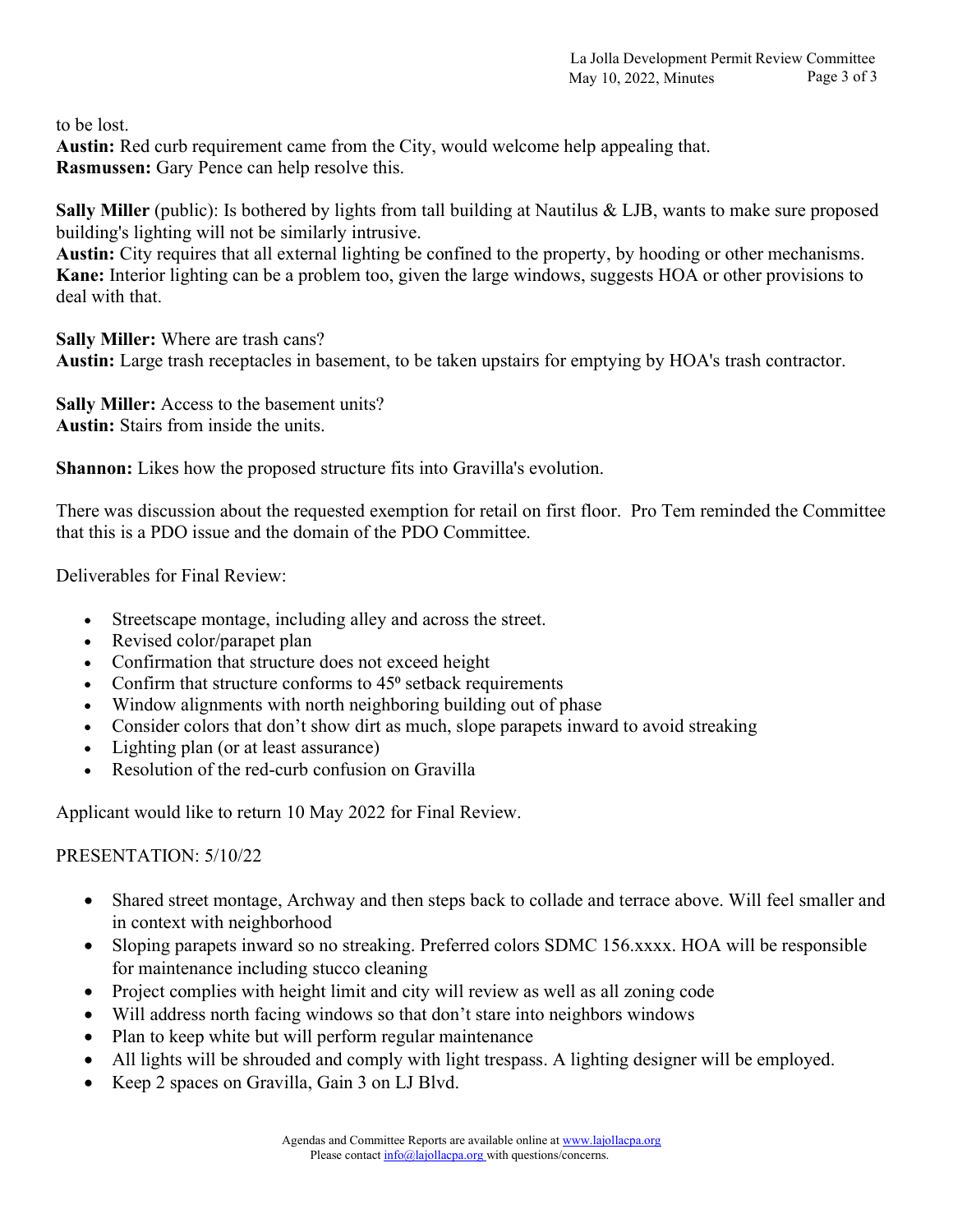to be lost.

Austin: Red curb requirement came from the City, would welcome help appealing that. Rasmussen: Gary Pence can help resolve this.

Sally Miller (public): Is bothered by lights from tall building at Nautilus & LJB, wants to make sure proposed building's lighting will not be similarly intrusive.

Austin: City requires that all external lighting be confined to the property, by hooding or other mechanisms. Kane: Interior lighting can be a problem too, given the large windows, suggests HOA or other provisions to deal with that.

Sally Miller: Where are trash cans? Austin: Large trash receptacles in basement, to be taken upstairs for emptying by HOA's trash contractor.

Sally Miller: Access to the basement units? Austin: Stairs from inside the units.

Shannon: Likes how the proposed structure fits into Gravilla's evolution.

There was discussion about the requested exemption for retail on first floor. Pro Tem reminded the Committee that this is a PDO issue and the domain of the PDO Committee.

Deliverables for Final Review:

- Streetscape montage, including alley and across the street.
- Revised color/parapet plan
- Confirmation that structure does not exceed height
- Confirm that structure conforms to  $45^\circ$  setback requirements
- Window alignments with north neighboring building out of phase
- Consider colors that don't show dirt as much, slope parapets inward to avoid streaking
- Lighting plan (or at least assurance)
- Resolution of the red-curb confusion on Gravilla

Applicant would like to return 10 May 2022 for Final Review.

# PRESENTATION: 5/10/22

- Shared street montage, Archway and then steps back to collade and terrace above. Will feel smaller and in context with neighborhood
- Sloping parapets inward so no streaking. Preferred colors SDMC 156.xxxx. HOA will be responsible for maintenance including stucco cleaning
- Project complies with height limit and city will review as well as all zoning code
- Will address north facing windows so that don't stare into neighbors windows
- Plan to keep white but will perform regular maintenance
- All lights will be shrouded and comply with light trespass. A lighting designer will be employed.
- Keep 2 spaces on Gravilla, Gain 3 on LJ Blvd.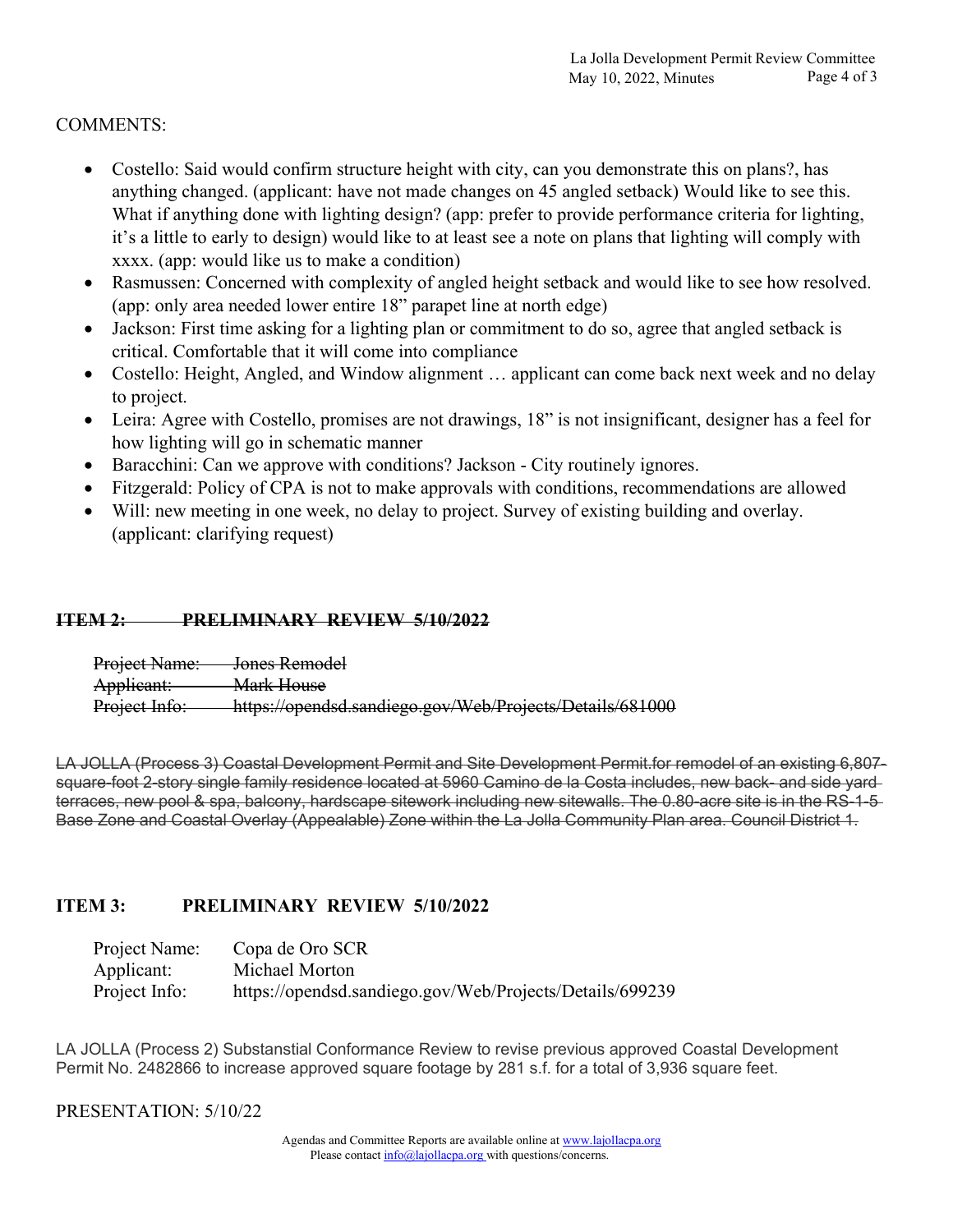# COMMENTS:

- Costello: Said would confirm structure height with city, can you demonstrate this on plans?, has anything changed. (applicant: have not made changes on 45 angled setback) Would like to see this. What if anything done with lighting design? (app: prefer to provide performance criteria for lighting, it's a little to early to design) would like to at least see a note on plans that lighting will comply with xxxx. (app: would like us to make a condition)
- Rasmussen: Concerned with complexity of angled height setback and would like to see how resolved. (app: only area needed lower entire 18" parapet line at north edge)
- Jackson: First time asking for a lighting plan or commitment to do so, agree that angled setback is critical. Comfortable that it will come into compliance
- Costello: Height, Angled, and Window alignment … applicant can come back next week and no delay to project.
- Leira: Agree with Costello, promises are not drawings, 18" is not insignificant, designer has a feel for how lighting will go in schematic manner
- Baracchini: Can we approve with conditions? Jackson City routinely ignores.
- Fitzgerald: Policy of CPA is not to make approvals with conditions, recommendations are allowed
- Will: new meeting in one week, no delay to project. Survey of existing building and overlay. (applicant: clarifying request)

# ITEM 2: PRELIMINARY REVIEW 5/10/2022

Project Name: Jones Remodel Applicant: Mark House Project Info: https://opendsd.sandiego.gov/Web/Projects/Details/681000

LA JOLLA (Process 3) Coastal Development Permit and Site Development Permit.for remodel of an existing 6,807 square-foot 2-story single family residence located at 5960 Camino de la Costa includes, new back- and side yard terraces, new pool & spa, balcony, hardscape sitework including new sitewalls. The 0.80-acre site is in the RS-1-5 Base Zone and Coastal Overlay (Appealable) Zone within the La Jolla Community Plan area. Council District 1.

# ITEM 3: PRELIMINARY REVIEW 5/10/2022

| Project Name: | Copa de Oro SCR                                          |
|---------------|----------------------------------------------------------|
| Applicant:    | Michael Morton                                           |
| Project Info: | https://opendsd.sandiego.gov/Web/Projects/Details/699239 |

LA JOLLA (Process 2) Substanstial Conformance Review to revise previous approved Coastal Development Permit No. 2482866 to increase approved square footage by 281 s.f. for a total of 3,936 square feet.

### PRESENTATION: 5/10/22